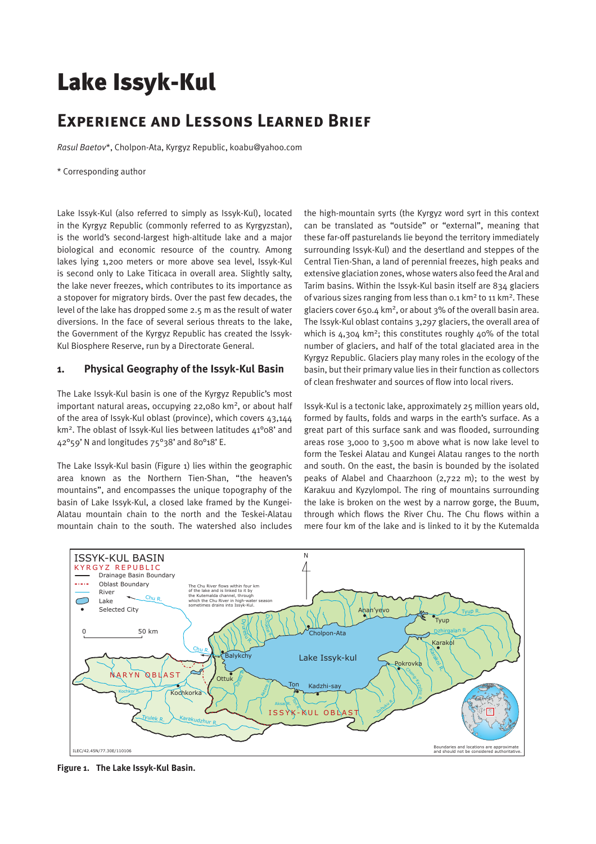# Lake Issyk-Kul

# **Experience and Lessons Learned Brief**

*Rasul Baetov*\*, Cholpon-Ata, Kyrgyz Republic, koabu@yahoo.com

\* Corresponding author

Lake Issyk-Kul (also referred to simply as Issyk-Kul), located in the Kyrgyz Republic (commonly referred to as Kyrgyzstan), is the world's second-largest high-altitude lake and a major biological and economic resource of the country. Among lakes lying 1,200 meters or more above sea level, Issyk-Kul is second only to Lake Titicaca in overall area. Slightly salty, the lake never freezes, which contributes to its importance as a stopover for migratory birds. Over the past few decades, the level of the lake has dropped some 2.5 m as the result of water diversions. In the face of several serious threats to the lake, the Government of the Kyrgyz Republic has created the Issyk-Kul Biosphere Reserve, run by a Directorate General.

## **1. Physical Geography of the Issyk-Kul Basin**

The Lake Issyk-Kul basin is one of the Kyrgyz Republic's most important natural areas, occupying 22,080 km<sup>2</sup>, or about half of the area of Issyk-Kul oblast (province), which covers 43,144 km2. The oblast of Issyk-Kul lies between latitudes 41°08' and 42°59' N and longitudes 75°38' and 80°18' E.

The Lake Issyk-Kul basin (Figure 1) lies within the geographic area known as the Northern Tien-Shan, "the heaven's mountains", and encompasses the unique topography of the basin of Lake Issyk-Kul, a closed lake framed by the Kungei-Alatau mountain chain to the north and the Teskei-Alatau mountain chain to the south. The watershed also includes the high-mountain syrts (the Kyrgyz word syrt in this context can be translated as "outside" or "external", meaning that these far-off pasturelands lie beyond the territory immediately surrounding Issyk-Kul) and the desertland and steppes of the Central Tien-Shan, a land of perennial freezes, high peaks and extensive glaciation zones, whose waters also feed the Aral and Tarim basins. Within the Issyk-Kul basin itself are 834 glaciers of various sizes ranging from less than 0.1 km<sup>2</sup> to 11 km<sup>2</sup>. These glaciers cover 650.4  $km^2$ , or about 3% of the overall basin area. The Issyk-Kul oblast contains 3,297 glaciers, the overall area of which is  $4,304$  km<sup>2</sup>; this constitutes roughly  $40\%$  of the total number of glaciers, and half of the total glaciated area in the Kyrgyz Republic. Glaciers play many roles in the ecology of the basin, but their primary value lies in their function as collectors of clean freshwater and sources of flow into local rivers.

Issyk-Kul is a tectonic lake, approximately 25 million years old, formed by faults, folds and warps in the earth's surface. As a great part of this surface sank and was flooded, surrounding areas rose 3,000 to 3,500 m above what is now lake level to form the Teskei Alatau and Kungei Alatau ranges to the north and south. On the east, the basin is bounded by the isolated peaks of Alabel and Chaarzhoon (2,722 m); to the west by Karakuu and Kyzylompol. The ring of mountains surrounding the lake is broken on the west by a narrow gorge, the Buum, through which flows the River Chu. The Chu flows within a mere four km of the lake and is linked to it by the Kutemalda



**Figure 1. The Lake Issyk-Kul Basin.**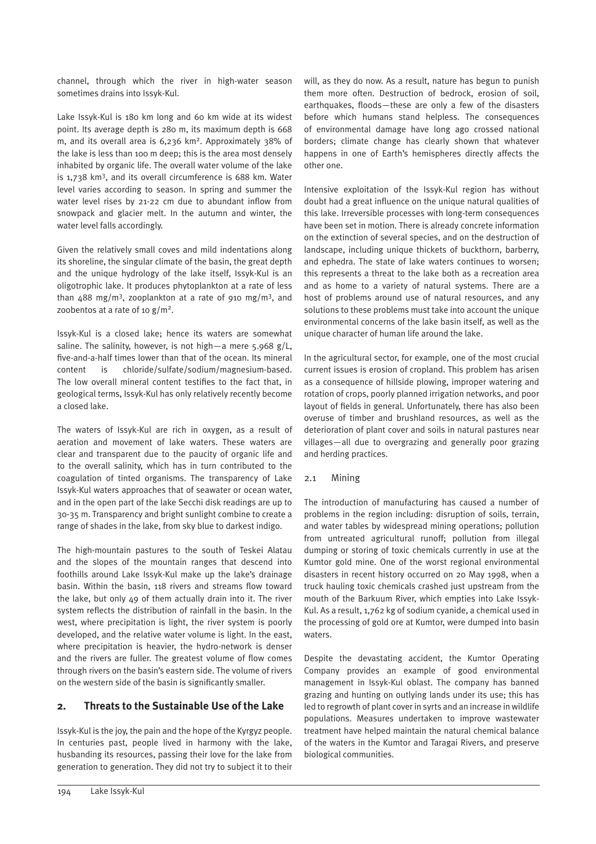channel, through which the river in high-water season sometimes drains into Issyk-Kul.

Lake Issyk-Kul is 180 km long and 60 km wide at its widest point. Its average depth is 280 m, its maximum depth is 668 m, and its overall area is 6,236 km2. Approximately 38% of the lake is less than 100 m deep; this is the area most densely inhabited by organic life. The overall water volume of the lake is 1,738 km3, and its overall circumference is 688 km. Water level varies according to season. In spring and summer the water level rises by 21-22 cm due to abundant inflow from snowpack and glacier melt. In the autumn and winter, the water level falls accordingly.

Given the relatively small coves and mild indentations along its shoreline, the singular climate of the basin, the great depth and the unique hydrology of the lake itself, Issyk-Kul is an oligotrophic lake. It produces phytoplankton at a rate of less than  $488 \text{ mg/m}^3$ , zooplankton at a rate of 910 mg/m<sup>3</sup>, and zoobentos at a rate of 10  $\frac{g}{m^2}$ .

Issyk-Kul is a closed lake; hence its waters are somewhat saline. The salinity, however, is not high—a mere  $5.968$  g/L, five-and-a-half times lower than that of the ocean. Its mineral content is chloride/sulfate/sodium/magnesium-based. The low overall mineral content testifies to the fact that, in geological terms, Issyk-Kul has only relatively recently become a closed lake.

The waters of Issyk-Kul are rich in oxygen, as a result of aeration and movement of lake waters. These waters are clear and transparent due to the paucity of organic life and to the overall salinity, which has in turn contributed to the coagulation of tinted organisms. The transparency of Lake Issyk-Kul waters approaches that of seawater or ocean water, and in the open part of the lake Secchi disk readings are up to 30-35 m. Transparency and bright sunlight combine to create a range of shades in the lake, from sky blue to darkest indigo.

The high-mountain pastures to the south of Teskei Alatau and the slopes of the mountain ranges that descend into foothills around Lake Issyk-Kul make up the lake's drainage basin. Within the basin, 118 rivers and streams flow toward the lake, but only 49 of them actually drain into it. The river system reflects the distribution of rainfall in the basin. In the west, where precipitation is light, the river system is poorly developed, and the relative water volume is light. In the east, where precipitation is heavier, the hydro-network is denser and the rivers are fuller. The greatest volume of flow comes through rivers on the basin's eastern side. The volume of rivers on the western side of the basin is significantly smaller.

# **2. Threats to the Sustainable Use of the Lake**

Issyk-Kul is the joy, the pain and the hope of the Kyrgyz people. In centuries past, people lived in harmony with the lake, husbanding its resources, passing their love for the lake from generation to generation. They did not try to subject it to their will, as they do now. As a result, nature has begun to punish them more often. Destruction of bedrock, erosion of soil, earthquakes, floods—these are only a few of the disasters before which humans stand helpless. The consequences of environmental damage have long ago crossed national borders; climate change has clearly shown that whatever happens in one of Earth's hemispheres directly affects the other one.

Intensive exploitation of the Issyk-Kul region has without doubt had a great influence on the unique natural qualities of this lake. Irreversible processes with long-term consequences have been set in motion. There is already concrete information on the extinction of several species, and on the destruction of landscape, including unique thickets of buckthorn, barberry, and ephedra. The state of lake waters continues to worsen; this represents a threat to the lake both as a recreation area and as home to a variety of natural systems. There are a host of problems around use of natural resources, and any solutions to these problems must take into account the unique environmental concerns of the lake basin itself, as well as the unique character of human life around the lake.

In the agricultural sector, for example, one of the most crucial current issues is erosion of cropland. This problem has arisen as a consequence of hillside plowing, improper watering and rotation of crops, poorly planned irrigation networks, and poor layout of fields in general. Unfortunately, there has also been overuse of timber and brushland resources, as well as the deterioration of plant cover and soils in natural pastures near villages—all due to overgrazing and generally poor grazing and herding practices.

#### 2.1 Mining

The introduction of manufacturing has caused a number of problems in the region including: disruption of soils, terrain, and water tables by widespread mining operations; pollution from untreated agricultural runoff; pollution from illegal dumping or storing of toxic chemicals currently in use at the Kumtor gold mine. One of the worst regional environmental disasters in recent history occurred on 20 May 1998, when a truck hauling toxic chemicals crashed just upstream from the mouth of the Barkuum River, which empties into Lake Issyk-Kul. As a result, 1,762 kg of sodium cyanide, a chemical used in the processing of gold ore at Kumtor, were dumped into basin waters.

Despite the devastating accident, the Kumtor Operating Company provides an example of good environmental management in Issyk-Kul oblast. The company has banned grazing and hunting on outlying lands under its use; this has led to regrowth of plant cover in syrts and an increase in wildlife populations. Measures undertaken to improve wastewater treatment have helped maintain the natural chemical balance of the waters in the Kumtor and Taragai Rivers, and preserve biological communities.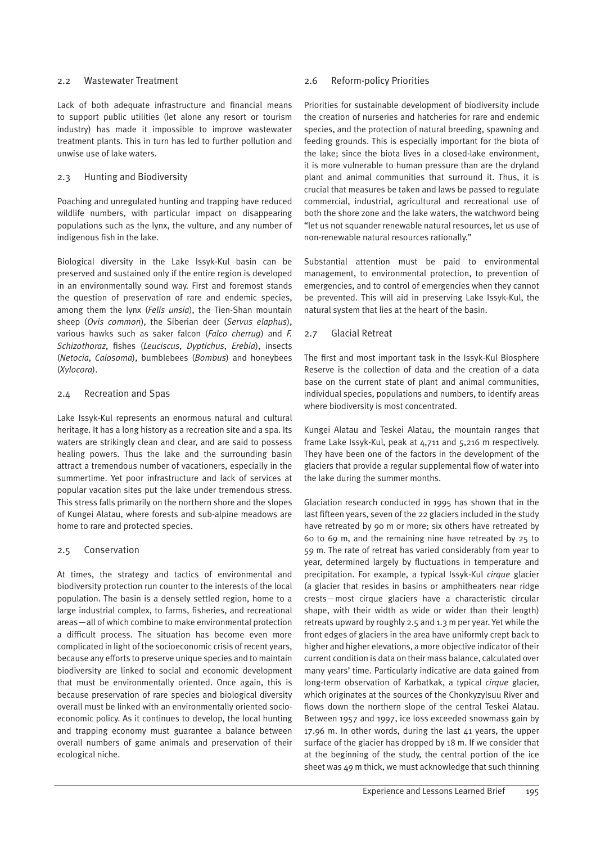#### 2.2 Wastewater Treatment

Lack of both adequate infrastructure and financial means to support public utilities (let alone any resort or tourism industry) has made it impossible to improve wastewater treatment plants. This in turn has led to further pollution and unwise use of lake waters.

#### 2.3 Hunting and Biodiversity

Poaching and unregulated hunting and trapping have reduced wildlife numbers, with particular impact on disappearing populations such as the lynx, the vulture, and any number of indigenous fish in the lake.

Biological diversity in the Lake Issyk-Kul basin can be preserved and sustained only if the entire region is developed in an environmentally sound way. First and foremost stands the question of preservation of rare and endemic species, among them the lynx (*Felis unsia*), the Tien-Shan mountain sheep (*Ovis common*), the Siberian deer (*Servus elaphus*), various hawks such as saker falcon (*Falco cherrug*) and *F. Schizothoraz*, fishes (*Leuciscus*, *Dyptichus*, *Erebia*), insects (*Netocia*, *Calosoma*), bumblebees (*Bombus*) and honeybees (*Xylocora*).

#### 2.4 Recreation and Spas

Lake Issyk-Kul represents an enormous natural and cultural heritage. It has a long history as a recreation site and a spa. Its waters are strikingly clean and clear, and are said to possess healing powers. Thus the lake and the surrounding basin attract a tremendous number of vacationers, especially in the summertime. Yet poor infrastructure and lack of services at popular vacation sites put the lake under tremendous stress. This stress falls primarily on the northern shore and the slopes of Kungei Alatau, where forests and sub-alpine meadows are home to rare and protected species.

#### 2.5 Conservation

At times, the strategy and tactics of environmental and biodiversity protection run counter to the interests of the local population. The basin is a densely settled region, home to a large industrial complex, to farms, fisheries, and recreational areas—all of which combine to make environmental protection a difficult process. The situation has become even more complicated in light of the socioeconomic crisis of recent years, because any efforts to preserve unique species and to maintain biodiversity are linked to social and economic development that must be environmentally oriented. Once again, this is because preservation of rare species and biological diversity overall must be linked with an environmentally oriented socioeconomic policy. As it continues to develop, the local hunting and trapping economy must guarantee a balance between overall numbers of game animals and preservation of their ecological niche.

#### 2.6 Reform-policy Priorities

Priorities for sustainable development of biodiversity include the creation of nurseries and hatcheries for rare and endemic species, and the protection of natural breeding, spawning and feeding grounds. This is especially important for the biota of the lake; since the biota lives in a closed-lake environment, it is more vulnerable to human pressure than are the dryland plant and animal communities that surround it. Thus, it is crucial that measures be taken and laws be passed to regulate commercial, industrial, agricultural and recreational use of both the shore zone and the lake waters, the watchword being "let us not squander renewable natural resources, let us use of non-renewable natural resources rationally."

Substantial attention must be paid to environmental management, to environmental protection, to prevention of emergencies, and to control of emergencies when they cannot be prevented. This will aid in preserving Lake Issyk-Kul, the natural system that lies at the heart of the basin.

#### 2.7 Glacial Retreat

The first and most important task in the Issyk-Kul Biosphere Reserve is the collection of data and the creation of a data base on the current state of plant and animal communities, individual species, populations and numbers, to identify areas where biodiversity is most concentrated.

Kungei Alatau and Teskei Alatau, the mountain ranges that frame Lake Issyk-Kul, peak at 4,711 and 5,216 m respectively. They have been one of the factors in the development of the glaciers that provide a regular supplemental flow of water into the lake during the summer months.

Glaciation research conducted in 1995 has shown that in the last fifteen years, seven of the 22 glaciers included in the study have retreated by 90 m or more; six others have retreated by 60 to 69 m, and the remaining nine have retreated by 25 to 59 m. The rate of retreat has varied considerably from year to year, determined largely by fluctuations in temperature and precipitation. For example, a typical Issyk-Kul *cirque* glacier (a glacier that resides in basins or amphitheaters near ridge crests—most cirque glaciers have a characteristic circular shape, with their width as wide or wider than their length) retreats upward by roughly 2.5 and 1.3 m per year. Yet while the front edges of glaciers in the area have uniformly crept back to higher and higher elevations, a more objective indicator of their current condition is data on their mass balance, calculated over many years' time. Particularly indicative are data gained from long-term observation of Karbatkak, a typical *cirque* glacier, which originates at the sources of the Chonkyzylsuu River and flows down the northern slope of the central Teskei Alatau. Between 1957 and 1997, ice loss exceeded snowmass gain by 17.96 m. In other words, during the last  $\Delta$ 1 years, the upper surface of the glacier has dropped by 18 m. If we consider that at the beginning of the study, the central portion of the ice sheet was 49 m thick, we must acknowledge that such thinning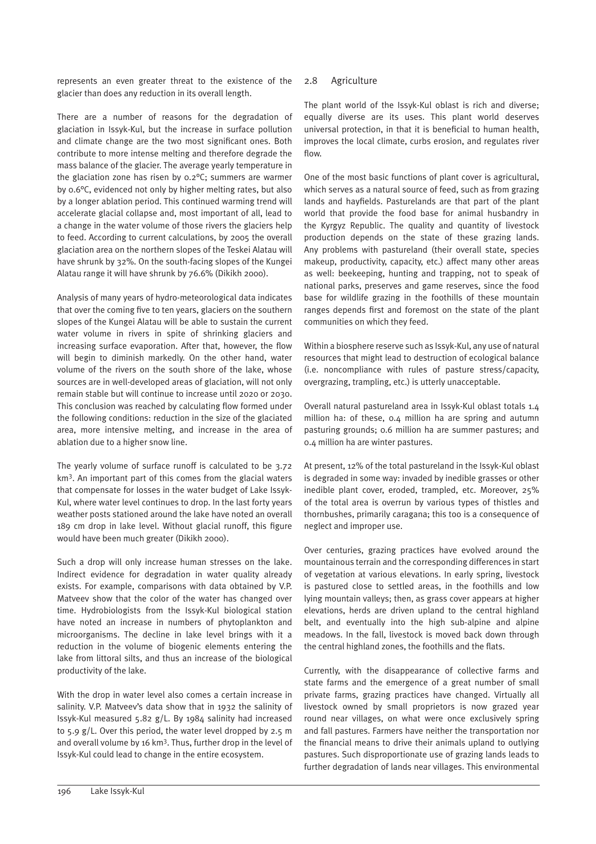represents an even greater threat to the existence of the glacier than does any reduction in its overall length.

There are a number of reasons for the degradation of glaciation in Issyk-Kul, but the increase in surface pollution and climate change are the two most significant ones. Both contribute to more intense melting and therefore degrade the mass balance of the glacier. The average yearly temperature in the glaciation zone has risen by 0.2°C; summers are warmer by 0.6°C, evidenced not only by higher melting rates, but also by a longer ablation period. This continued warming trend will accelerate glacial collapse and, most important of all, lead to a change in the water volume of those rivers the glaciers help to feed. According to current calculations, by 2005 the overall glaciation area on the northern slopes of the Teskei Alatau will have shrunk by 32%. On the south-facing slopes of the Kungei Alatau range it will have shrunk by 76.6% (Dikikh 2000).

Analysis of many years of hydro-meteorological data indicates that over the coming five to ten years, glaciers on the southern slopes of the Kungei Alatau will be able to sustain the current water volume in rivers in spite of shrinking glaciers and increasing surface evaporation. After that, however, the flow will begin to diminish markedly. On the other hand, water volume of the rivers on the south shore of the lake, whose sources are in well-developed areas of glaciation, will not only remain stable but will continue to increase until 2020 or 2030. This conclusion was reached by calculating flow formed under the following conditions: reduction in the size of the glaciated area, more intensive melting, and increase in the area of ablation due to a higher snow line.

The yearly volume of surface runoff is calculated to be 3.72 km3. An important part of this comes from the glacial waters that compensate for losses in the water budget of Lake Issyk-Kul, where water level continues to drop. In the last forty years weather posts stationed around the lake have noted an overall 189 cm drop in lake level. Without glacial runoff, this figure would have been much greater (Dikikh 2000).

Such a drop will only increase human stresses on the lake. Indirect evidence for degradation in water quality already exists. For example, comparisons with data obtained by V.P. Matveev show that the color of the water has changed over time. Hydrobiologists from the Issyk-Kul biological station have noted an increase in numbers of phytoplankton and microorganisms. The decline in lake level brings with it a reduction in the volume of biogenic elements entering the lake from littoral silts, and thus an increase of the biological productivity of the lake.

With the drop in water level also comes a certain increase in salinity. V.P. Matveev's data show that in 1932 the salinity of Issyk-Kul measured 5.82 g/L. By 1984 salinity had increased to 5.9 g/L. Over this period, the water level dropped by 2.5 m and overall volume by 16 km3. Thus, further drop in the level of Issyk-Kul could lead to change in the entire ecosystem.

#### 2.8 Agriculture

The plant world of the Issyk-Kul oblast is rich and diverse; equally diverse are its uses. This plant world deserves universal protection, in that it is beneficial to human health, improves the local climate, curbs erosion, and regulates river flow.

One of the most basic functions of plant cover is agricultural, which serves as a natural source of feed, such as from grazing lands and hayfields. Pasturelands are that part of the plant world that provide the food base for animal husbandry in the Kyrgyz Republic. The quality and quantity of livestock production depends on the state of these grazing lands. Any problems with pastureland (their overall state, species makeup, productivity, capacity, etc.) affect many other areas as well: beekeeping, hunting and trapping, not to speak of national parks, preserves and game reserves, since the food base for wildlife grazing in the foothills of these mountain ranges depends first and foremost on the state of the plant communities on which they feed.

Within a biosphere reserve such as Issyk-Kul, any use of natural resources that might lead to destruction of ecological balance (i.e. noncompliance with rules of pasture stress/capacity, overgrazing, trampling, etc.) is utterly unacceptable.

Overall natural pastureland area in Issyk-Kul oblast totals 1.4 million ha: of these, 0.4 million ha are spring and autumn pasturing grounds; 0.6 million ha are summer pastures; and 0.4 million ha are winter pastures.

At present, 12% of the total pastureland in the Issyk-Kul oblast is degraded in some way: invaded by inedible grasses or other inedible plant cover, eroded, trampled, etc. Moreover, 25% of the total area is overrun by various types of thistles and thornbushes, primarily caragana; this too is a consequence of neglect and improper use.

Over centuries, grazing practices have evolved around the mountainous terrain and the corresponding differences in start of vegetation at various elevations. In early spring, livestock is pastured close to settled areas, in the foothills and low lying mountain valleys; then, as grass cover appears at higher elevations, herds are driven upland to the central highland belt, and eventually into the high sub-alpine and alpine meadows. In the fall, livestock is moved back down through the central highland zones, the foothills and the flats.

Currently, with the disappearance of collective farms and state farms and the emergence of a great number of small private farms, grazing practices have changed. Virtually all livestock owned by small proprietors is now grazed year round near villages, on what were once exclusively spring and fall pastures. Farmers have neither the transportation nor the financial means to drive their animals upland to outlying pastures. Such disproportionate use of grazing lands leads to further degradation of lands near villages. This environmental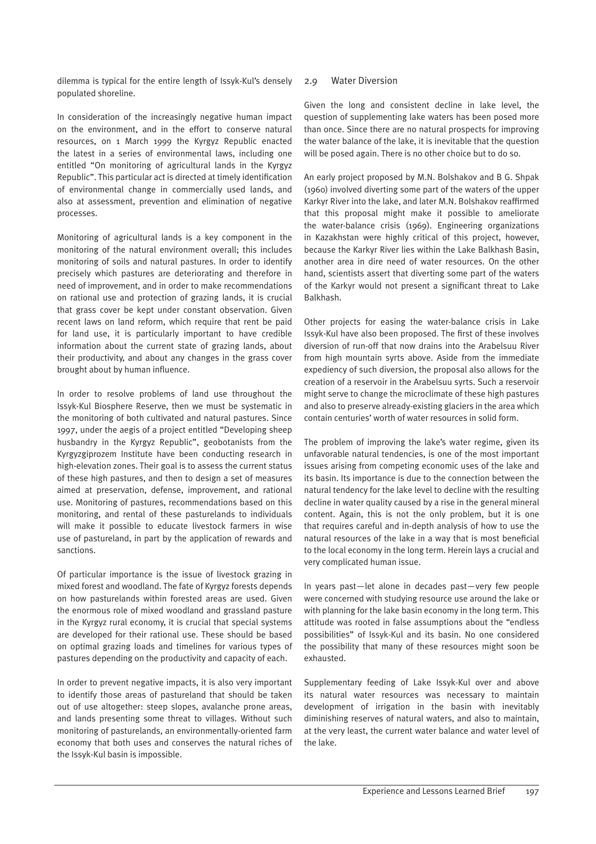dilemma is typical for the entire length of Issyk-Kul's densely populated shoreline.

In consideration of the increasingly negative human impact on the environment, and in the effort to conserve natural resources, on 1 March 1999 the Kyrgyz Republic enacted the latest in a series of environmental laws, including one entitled "On monitoring of agricultural lands in the Kyrgyz Republic". This particular act is directed at timely identification of environmental change in commercially used lands, and also at assessment, prevention and elimination of negative processes.

Monitoring of agricultural lands is a key component in the monitoring of the natural environment overall; this includes monitoring of soils and natural pastures. In order to identify precisely which pastures are deteriorating and therefore in need of improvement, and in order to make recommendations on rational use and protection of grazing lands, it is crucial that grass cover be kept under constant observation. Given recent laws on land reform, which require that rent be paid for land use, it is particularly important to have credible information about the current state of grazing lands, about their productivity, and about any changes in the grass cover brought about by human influence.

In order to resolve problems of land use throughout the Issyk-Kul Biosphere Reserve, then we must be systematic in the monitoring of both cultivated and natural pastures. Since 1997, under the aegis of a project entitled "Developing sheep husbandry in the Kyrgyz Republic", geobotanists from the Kyrgyzgiprozem Institute have been conducting research in high-elevation zones. Their goal is to assess the current status of these high pastures, and then to design a set of measures aimed at preservation, defense, improvement, and rational use. Monitoring of pastures, recommendations based on this monitoring, and rental of these pasturelands to individuals will make it possible to educate livestock farmers in wise use of pastureland, in part by the application of rewards and sanctions.

Of particular importance is the issue of livestock grazing in mixed forest and woodland. The fate of Kyrgyz forests depends on how pasturelands within forested areas are used. Given the enormous role of mixed woodland and grassland pasture in the Kyrgyz rural economy, it is crucial that special systems are developed for their rational use. These should be based on optimal grazing loads and timelines for various types of pastures depending on the productivity and capacity of each.

In order to prevent negative impacts, it is also very important to identify those areas of pastureland that should be taken out of use altogether: steep slopes, avalanche prone areas, and lands presenting some threat to villages. Without such monitoring of pasturelands, an environmentally-oriented farm economy that both uses and conserves the natural riches of the Issyk-Kul basin is impossible.

#### 2.9 Water Diversion

Given the long and consistent decline in lake level, the question of supplementing lake waters has been posed more than once. Since there are no natural prospects for improving the water balance of the lake, it is inevitable that the question will be posed again. There is no other choice but to do so.

An early project proposed by M.N. Bolshakov and B G. Shpak (1960) involved diverting some part of the waters of the upper Karkyr River into the lake, and later M.N. Bolshakov reaffirmed that this proposal might make it possible to ameliorate the water-balance crisis (1969). Engineering organizations in Kazakhstan were highly critical of this project, however, because the Karkyr River lies within the Lake Balkhash Basin, another area in dire need of water resources. On the other hand, scientists assert that diverting some part of the waters of the Karkyr would not present a significant threat to Lake Balkhash.

Other projects for easing the water-balance crisis in Lake Issyk-Kul have also been proposed. The first of these involves diversion of run-off that now drains into the Arabelsuu River from high mountain syrts above. Aside from the immediate expediency of such diversion, the proposal also allows for the creation of a reservoir in the Arabelsuu syrts. Such a reservoir might serve to change the microclimate of these high pastures and also to preserve already-existing glaciers in the area which contain centuries' worth of water resources in solid form.

The problem of improving the lake's water regime, given its unfavorable natural tendencies, is one of the most important issues arising from competing economic uses of the lake and its basin. Its importance is due to the connection between the natural tendency for the lake level to decline with the resulting decline in water quality caused by a rise in the general mineral content. Again, this is not the only problem, but it is one that requires careful and in-depth analysis of how to use the natural resources of the lake in a way that is most beneficial to the local economy in the long term. Herein lays a crucial and very complicated human issue.

In years past—let alone in decades past—very few people were concerned with studying resource use around the lake or with planning for the lake basin economy in the long term. This attitude was rooted in false assumptions about the "endless possibilities" of Issyk-Kul and its basin. No one considered the possibility that many of these resources might soon be exhausted.

Supplementary feeding of Lake Issyk-Kul over and above its natural water resources was necessary to maintain development of irrigation in the basin with inevitably diminishing reserves of natural waters, and also to maintain, at the very least, the current water balance and water level of the lake.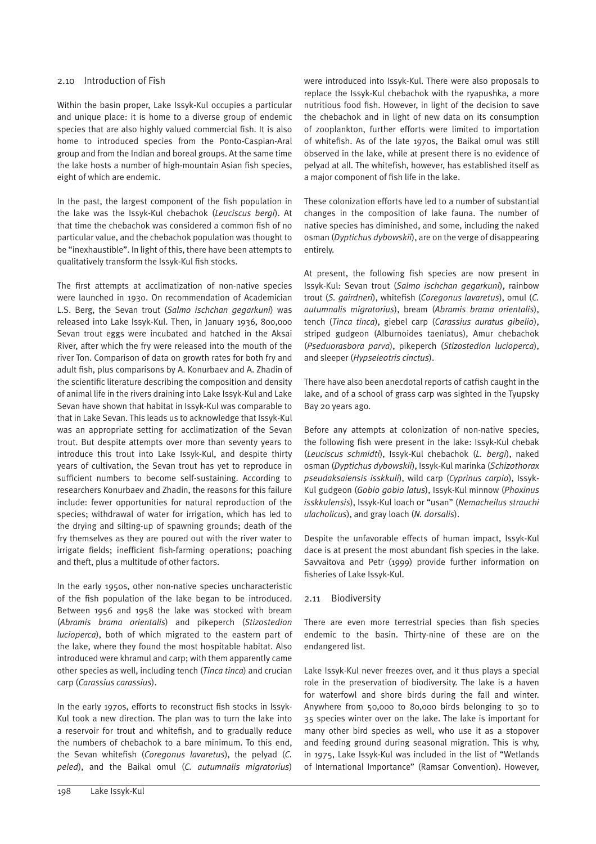#### 2.10 Introduction of Fish

Within the basin proper, Lake Issyk-Kul occupies a particular and unique place: it is home to a diverse group of endemic species that are also highly valued commercial fish. It is also home to introduced species from the Ponto-Caspian-Aral group and from the Indian and boreal groups. At the same time the lake hosts a number of high-mountain Asian fish species, eight of which are endemic.

In the past, the largest component of the fish population in the lake was the Issyk-Kul chebachok (*Leuciscus bergi*). At that time the chebachok was considered a common fish of no particular value, and the chebachok population was thought to be "inexhaustible". In light of this, there have been attempts to qualitatively transform the Issyk-Kul fish stocks.

The first attempts at acclimatization of non-native species were launched in 1930. On recommendation of Academician L.S. Berg, the Sevan trout (*Salmo ischchan gegarkuni*) was released into Lake Issyk-Kul. Then, in January 1936, 800,000 Sevan trout eggs were incubated and hatched in the Aksai River, after which the fry were released into the mouth of the river Ton. Comparison of data on growth rates for both fry and adult fish, plus comparisons by A. Konurbaev and A. Zhadin of the scientific literature describing the composition and density of animal life in the rivers draining into Lake Issyk-Kul and Lake Sevan have shown that habitat in Issyk-Kul was comparable to that in Lake Sevan. This leads us to acknowledge that Issyk-Kul was an appropriate setting for acclimatization of the Sevan trout. But despite attempts over more than seventy years to introduce this trout into Lake Issyk-Kul, and despite thirty years of cultivation, the Sevan trout has yet to reproduce in sufficient numbers to become self-sustaining. According to researchers Konurbaev and Zhadin, the reasons for this failure include: fewer opportunities for natural reproduction of the species; withdrawal of water for irrigation, which has led to the drying and silting-up of spawning grounds; death of the fry themselves as they are poured out with the river water to irrigate fields; inefficient fish-farming operations; poaching and theft, plus a multitude of other factors.

In the early 1950s, other non-native species uncharacteristic of the fish population of the lake began to be introduced. Between 1956 and 1958 the lake was stocked with bream (*Abramis brama orientalis*) and pikeperch (*Stizostedion lucioperca*), both of which migrated to the eastern part of the lake, where they found the most hospitable habitat. Also introduced were khramul and carp; with them apparently came other species as well, including tench (*Tinca tinca*) and crucian carp (*Carassius carassius*).

In the early 1970s, efforts to reconstruct fish stocks in Issyk-Kul took a new direction. The plan was to turn the lake into a reservoir for trout and whitefish, and to gradually reduce the numbers of chebachok to a bare minimum. To this end, the Sevan whitefish (*Coregonus lavaretus*), the pelyad (*C. peled*), and the Baikal omul (*C. autumnalis migratorius*)

were introduced into Issyk-Kul. There were also proposals to replace the Issyk-Kul chebachok with the ryapushka, a more nutritious food fish. However, in light of the decision to save the chebachok and in light of new data on its consumption of zooplankton, further efforts were limited to importation of whitefish. As of the late 1970s, the Baikal omul was still observed in the lake, while at present there is no evidence of pelyad at all. The whitefish, however, has established itself as a major component of fish life in the lake.

These colonization efforts have led to a number of substantial changes in the composition of lake fauna. The number of native species has diminished, and some, including the naked osman (*Dyptichus dybowskii*), are on the verge of disappearing entirely.

At present, the following fish species are now present in Issyk-Kul: Sevan trout (*Salmo ischchan gegarkuni*), rainbow trout (*S. gairdneri*), whitefish (*Coregonus lavaretus*), omul (*C. autumnalis migratorius*), bream (*Abramis brama orientalis*), tench (*Tinca tinca*), giebel carp (*Carassius auratus gibelio*), striped gudgeon (Alburnoides taeniatus), Amur chebachok (*Pseduorasbora parva*), pikeperch (*Stizostedion lucioperca*), and sleeper (*Hypseleotris cinctus*).

There have also been anecdotal reports of catfish caught in the lake, and of a school of grass carp was sighted in the Tyupsky Bay 20 years ago.

Before any attempts at colonization of non-native species, the following fish were present in the lake: Issyk-Kul chebak (*Leuciscus schmidti*), Issyk-Kul chebachok (*L. bergi*), naked osman (*Dyptichus dybowskii*), Issyk-Kul marinka (*Schizothorax pseudaksaiensis isskkuli*), wild carp (*Cyprinus carpio*), Issyk-Kul gudgeon (*Gobio gobio latus*), Issyk-Kul minnow (*Phoxinus isskkulensis*), Issyk-Kul loach or "usan" (*Nemacheilus strauchi ulacholicus*), and gray loach (*N. dorsalis*).

Despite the unfavorable effects of human impact, Issyk-Kul dace is at present the most abundant fish species in the lake. Savvaitova and Petr (1999) provide further information on fisheries of Lake Issyk-Kul.

#### 2.11 Biodiversity

There are even more terrestrial species than fish species endemic to the basin. Thirty-nine of these are on the endangered list.

Lake Issyk-Kul never freezes over, and it thus plays a special role in the preservation of biodiversity. The lake is a haven for waterfowl and shore birds during the fall and winter. Anywhere from 50,000 to 80,000 birds belonging to 30 to 35 species winter over on the lake. The lake is important for many other bird species as well, who use it as a stopover and feeding ground during seasonal migration. This is why, in 1975, Lake Issyk-Kul was included in the list of "Wetlands of International Importance" (Ramsar Convention). However,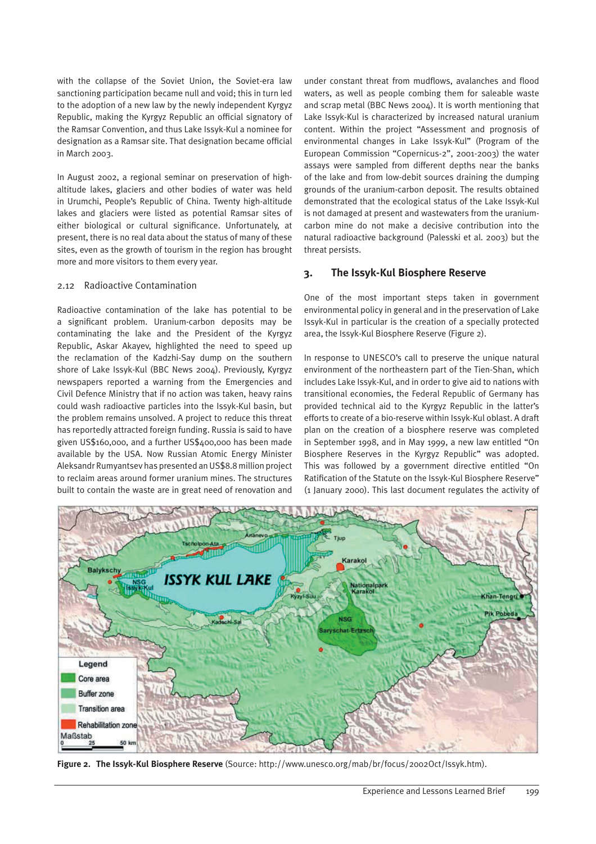with the collapse of the Soviet Union, the Soviet-era law sanctioning participation became null and void; this in turn led to the adoption of a new law by the newly independent Kyrgyz Republic, making the Kyrgyz Republic an official signatory of the Ramsar Convention, and thus Lake Issyk-Kul a nominee for designation as a Ramsar site. That designation became official in March 2003.

In August 2002, a regional seminar on preservation of highaltitude lakes, glaciers and other bodies of water was held in Urumchi, People's Republic of China. Twenty high-altitude lakes and glaciers were listed as potential Ramsar sites of either biological or cultural significance. Unfortunately, at present, there is no real data about the status of many of these sites, even as the growth of tourism in the region has brought more and more visitors to them every year.

#### 2.12 Radioactive Contamination

Radioactive contamination of the lake has potential to be a significant problem. Uranium-carbon deposits may be contaminating the lake and the President of the Kyrgyz Republic, Askar Akayev, highlighted the need to speed up the reclamation of the Kadzhi-Say dump on the southern shore of Lake Issyk-Kul (BBC News 2004). Previously, Kyrgyz newspapers reported a warning from the Emergencies and Civil Defence Ministry that if no action was taken, heavy rains could wash radioactive particles into the Issyk-Kul basin, but the problem remains unsolved. A project to reduce this threat has reportedly attracted foreign funding. Russia is said to have given US\$160,000, and a further US\$400,000 has been made available by the USA. Now Russian Atomic Energy Minister Aleksandr Rumyantsev has presented an US\$8.8 million project to reclaim areas around former uranium mines. The structures built to contain the waste are in great need of renovation and

under constant threat from mudflows, avalanches and flood waters, as well as people combing them for saleable waste and scrap metal (BBC News 2004). It is worth mentioning that Lake Issyk-Kul is characterized by increased natural uranium content. Within the project "Assessment and prognosis of environmental changes in Lake Issyk-Kul" (Program of the European Commission "Copernicus-2", 2001-2003) the water assays were sampled from different depths near the banks of the lake and from low-debit sources draining the dumping grounds of the uranium-carbon deposit. The results obtained demonstrated that the ecological status of the Lake Issyk-Kul is not damaged at present and wastewaters from the uraniumcarbon mine do not make a decisive contribution into the natural radioactive background (Palesski et al. 2003) but the threat persists.

# **3. The Issyk-Kul Biosphere Reserve**

One of the most important steps taken in government environmental policy in general and in the preservation of Lake Issyk-Kul in particular is the creation of a specially protected area, the Issyk-Kul Biosphere Reserve (Figure 2).

In response to UNESCO's call to preserve the unique natural environment of the northeastern part of the Tien-Shan, which includes Lake Issyk-Kul, and in order to give aid to nations with transitional economies, the Federal Republic of Germany has provided technical aid to the Kyrgyz Republic in the latter's efforts to create of a bio-reserve within Issyk-Kul oblast. A draft plan on the creation of a biosphere reserve was completed in September 1998, and in May 1999, a new law entitled "On Biosphere Reserves in the Kyrgyz Republic" was adopted. This was followed by a government directive entitled "On Ratification of the Statute on the Issyk-Kul Biosphere Reserve" (1 January 2000). This last document regulates the activity of



**Figure 2. The Issyk-Kul Biosphere Reserve** (Source: http://www.unesco.org/mab/br/focus/2002Oct/Issyk.htm).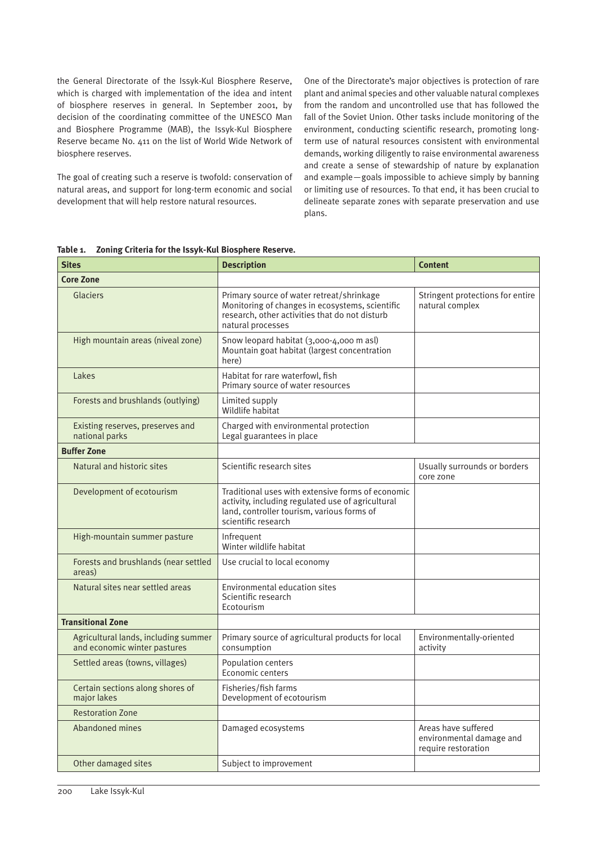the General Directorate of the Issyk-Kul Biosphere Reserve, which is charged with implementation of the idea and intent of biosphere reserves in general. In September 2001, by decision of the coordinating committee of the UNESCO Man and Biosphere Programme (MAB), the Issyk-Kul Biosphere Reserve became No. 411 on the list of World Wide Network of biosphere reserves.

The goal of creating such a reserve is twofold: conservation of natural areas, and support for long-term economic and social development that will help restore natural resources.

One of the Directorate's major objectives is protection of rare plant and animal species and other valuable natural complexes from the random and uncontrolled use that has followed the fall of the Soviet Union. Other tasks include monitoring of the environment, conducting scientific research, promoting longterm use of natural resources consistent with environmental demands, working diligently to raise environmental awareness and create a sense of stewardship of nature by explanation and example—goals impossible to achieve simply by banning or limiting use of resources. To that end, it has been crucial to delineate separate zones with separate preservation and use plans.

**Table 1. Zoning Criteria for the Issyk-Kul Biosphere Reserve.**

| <b>Core Zone</b><br><b>Glaciers</b><br>Primary source of water retreat/shrinkage<br>Stringent protections for entire<br>Monitoring of changes in ecosystems, scientific<br>natural complex<br>research, other activities that do not disturb<br>natural processes<br>High mountain areas (niveal zone)<br>Snow leopard habitat (3,000-4,000 m asl)<br>Mountain goat habitat (largest concentration<br>here)<br>Habitat for rare waterfowl, fish<br>Lakes<br>Primary source of water resources<br>Limited supply<br>Forests and brushlands (outlying)<br>Wildlife habitat<br>Charged with environmental protection<br>Existing reserves, preserves and<br>national parks<br>Legal guarantees in place<br><b>Buffer Zone</b><br>Natural and historic sites<br>Scientific research sites<br>Usually surrounds or borders<br>core zone<br>Traditional uses with extensive forms of economic<br>Development of ecotourism<br>activity, including regulated use of agricultural<br>land, controller tourism, various forms of<br>scientific research<br>Infrequent<br>High-mountain summer pasture<br>Winter wildlife habitat<br>Forests and brushlands (near settled<br>Use crucial to local economy<br>areas)<br>Natural sites near settled areas<br>Environmental education sites<br>Scientific research<br>Ecotourism<br><b>Transitional Zone</b><br>Agricultural lands, including summer<br>Primary source of agricultural products for local<br>Environmentally-oriented<br>and economic winter pastures<br>consumption<br>activity<br>Population centers<br>Settled areas (towns, villages)<br>Economic centers<br>Certain sections along shores of<br>Fisheries/fish farms<br>major lakes<br>Development of ecotourism<br><b>Restoration Zone</b><br>Abandoned mines<br>Areas have suffered<br>Damaged ecosystems<br>environmental damage and<br>require restoration<br>Other damaged sites<br>Subject to improvement | <b>Sites</b> | <b>Description</b> |  |  |
|-------------------------------------------------------------------------------------------------------------------------------------------------------------------------------------------------------------------------------------------------------------------------------------------------------------------------------------------------------------------------------------------------------------------------------------------------------------------------------------------------------------------------------------------------------------------------------------------------------------------------------------------------------------------------------------------------------------------------------------------------------------------------------------------------------------------------------------------------------------------------------------------------------------------------------------------------------------------------------------------------------------------------------------------------------------------------------------------------------------------------------------------------------------------------------------------------------------------------------------------------------------------------------------------------------------------------------------------------------------------------------------------------------------------------------------------------------------------------------------------------------------------------------------------------------------------------------------------------------------------------------------------------------------------------------------------------------------------------------------------------------------------------------------------------------------------------------------------------------------------------------------------------------------------------|--------------|--------------------|--|--|
|                                                                                                                                                                                                                                                                                                                                                                                                                                                                                                                                                                                                                                                                                                                                                                                                                                                                                                                                                                                                                                                                                                                                                                                                                                                                                                                                                                                                                                                                                                                                                                                                                                                                                                                                                                                                                                                                                                                         |              |                    |  |  |
|                                                                                                                                                                                                                                                                                                                                                                                                                                                                                                                                                                                                                                                                                                                                                                                                                                                                                                                                                                                                                                                                                                                                                                                                                                                                                                                                                                                                                                                                                                                                                                                                                                                                                                                                                                                                                                                                                                                         |              |                    |  |  |
|                                                                                                                                                                                                                                                                                                                                                                                                                                                                                                                                                                                                                                                                                                                                                                                                                                                                                                                                                                                                                                                                                                                                                                                                                                                                                                                                                                                                                                                                                                                                                                                                                                                                                                                                                                                                                                                                                                                         |              |                    |  |  |
|                                                                                                                                                                                                                                                                                                                                                                                                                                                                                                                                                                                                                                                                                                                                                                                                                                                                                                                                                                                                                                                                                                                                                                                                                                                                                                                                                                                                                                                                                                                                                                                                                                                                                                                                                                                                                                                                                                                         |              |                    |  |  |
|                                                                                                                                                                                                                                                                                                                                                                                                                                                                                                                                                                                                                                                                                                                                                                                                                                                                                                                                                                                                                                                                                                                                                                                                                                                                                                                                                                                                                                                                                                                                                                                                                                                                                                                                                                                                                                                                                                                         |              |                    |  |  |
|                                                                                                                                                                                                                                                                                                                                                                                                                                                                                                                                                                                                                                                                                                                                                                                                                                                                                                                                                                                                                                                                                                                                                                                                                                                                                                                                                                                                                                                                                                                                                                                                                                                                                                                                                                                                                                                                                                                         |              |                    |  |  |
|                                                                                                                                                                                                                                                                                                                                                                                                                                                                                                                                                                                                                                                                                                                                                                                                                                                                                                                                                                                                                                                                                                                                                                                                                                                                                                                                                                                                                                                                                                                                                                                                                                                                                                                                                                                                                                                                                                                         |              |                    |  |  |
|                                                                                                                                                                                                                                                                                                                                                                                                                                                                                                                                                                                                                                                                                                                                                                                                                                                                                                                                                                                                                                                                                                                                                                                                                                                                                                                                                                                                                                                                                                                                                                                                                                                                                                                                                                                                                                                                                                                         |              |                    |  |  |
|                                                                                                                                                                                                                                                                                                                                                                                                                                                                                                                                                                                                                                                                                                                                                                                                                                                                                                                                                                                                                                                                                                                                                                                                                                                                                                                                                                                                                                                                                                                                                                                                                                                                                                                                                                                                                                                                                                                         |              |                    |  |  |
|                                                                                                                                                                                                                                                                                                                                                                                                                                                                                                                                                                                                                                                                                                                                                                                                                                                                                                                                                                                                                                                                                                                                                                                                                                                                                                                                                                                                                                                                                                                                                                                                                                                                                                                                                                                                                                                                                                                         |              |                    |  |  |
|                                                                                                                                                                                                                                                                                                                                                                                                                                                                                                                                                                                                                                                                                                                                                                                                                                                                                                                                                                                                                                                                                                                                                                                                                                                                                                                                                                                                                                                                                                                                                                                                                                                                                                                                                                                                                                                                                                                         |              |                    |  |  |
|                                                                                                                                                                                                                                                                                                                                                                                                                                                                                                                                                                                                                                                                                                                                                                                                                                                                                                                                                                                                                                                                                                                                                                                                                                                                                                                                                                                                                                                                                                                                                                                                                                                                                                                                                                                                                                                                                                                         |              |                    |  |  |
|                                                                                                                                                                                                                                                                                                                                                                                                                                                                                                                                                                                                                                                                                                                                                                                                                                                                                                                                                                                                                                                                                                                                                                                                                                                                                                                                                                                                                                                                                                                                                                                                                                                                                                                                                                                                                                                                                                                         |              |                    |  |  |
|                                                                                                                                                                                                                                                                                                                                                                                                                                                                                                                                                                                                                                                                                                                                                                                                                                                                                                                                                                                                                                                                                                                                                                                                                                                                                                                                                                                                                                                                                                                                                                                                                                                                                                                                                                                                                                                                                                                         |              |                    |  |  |
|                                                                                                                                                                                                                                                                                                                                                                                                                                                                                                                                                                                                                                                                                                                                                                                                                                                                                                                                                                                                                                                                                                                                                                                                                                                                                                                                                                                                                                                                                                                                                                                                                                                                                                                                                                                                                                                                                                                         |              |                    |  |  |
|                                                                                                                                                                                                                                                                                                                                                                                                                                                                                                                                                                                                                                                                                                                                                                                                                                                                                                                                                                                                                                                                                                                                                                                                                                                                                                                                                                                                                                                                                                                                                                                                                                                                                                                                                                                                                                                                                                                         |              |                    |  |  |
|                                                                                                                                                                                                                                                                                                                                                                                                                                                                                                                                                                                                                                                                                                                                                                                                                                                                                                                                                                                                                                                                                                                                                                                                                                                                                                                                                                                                                                                                                                                                                                                                                                                                                                                                                                                                                                                                                                                         |              |                    |  |  |
|                                                                                                                                                                                                                                                                                                                                                                                                                                                                                                                                                                                                                                                                                                                                                                                                                                                                                                                                                                                                                                                                                                                                                                                                                                                                                                                                                                                                                                                                                                                                                                                                                                                                                                                                                                                                                                                                                                                         |              |                    |  |  |
|                                                                                                                                                                                                                                                                                                                                                                                                                                                                                                                                                                                                                                                                                                                                                                                                                                                                                                                                                                                                                                                                                                                                                                                                                                                                                                                                                                                                                                                                                                                                                                                                                                                                                                                                                                                                                                                                                                                         |              |                    |  |  |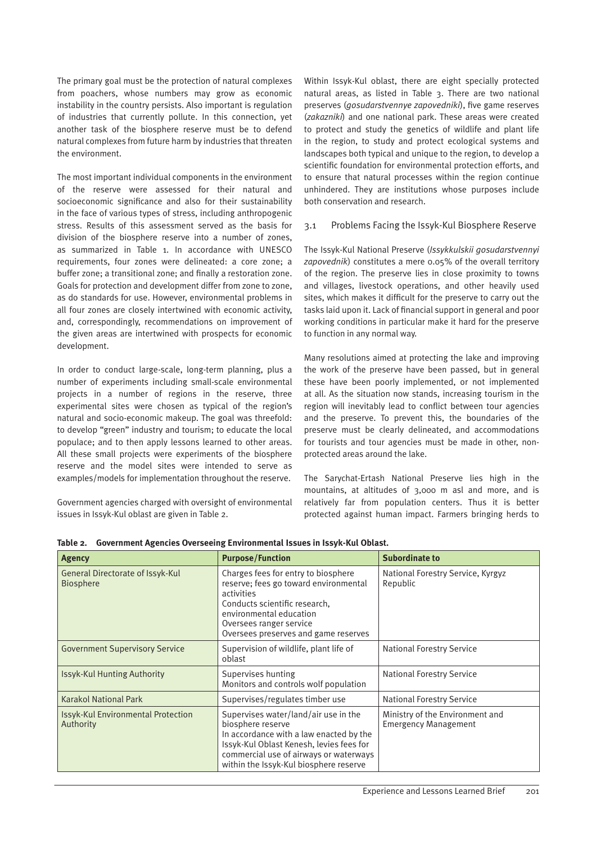The primary goal must be the protection of natural complexes from poachers, whose numbers may grow as economic instability in the country persists. Also important is regulation of industries that currently pollute. In this connection, yet another task of the biosphere reserve must be to defend natural complexes from future harm by industries that threaten the environment.

The most important individual components in the environment of the reserve were assessed for their natural and socioeconomic significance and also for their sustainability in the face of various types of stress, including anthropogenic stress. Results of this assessment served as the basis for division of the biosphere reserve into a number of zones, as summarized in Table 1. In accordance with UNESCO requirements, four zones were delineated: a core zone; a buffer zone; a transitional zone; and finally a restoration zone. Goals for protection and development differ from zone to zone, as do standards for use. However, environmental problems in all four zones are closely intertwined with economic activity, and, correspondingly, recommendations on improvement of the given areas are intertwined with prospects for economic development.

In order to conduct large-scale, long-term planning, plus a number of experiments including small-scale environmental projects in a number of regions in the reserve, three experimental sites were chosen as typical of the region's natural and socio-economic makeup. The goal was threefold: to develop "green" industry and tourism; to educate the local populace; and to then apply lessons learned to other areas. All these small projects were experiments of the biosphere reserve and the model sites were intended to serve as examples/models for implementation throughout the reserve.

Government agencies charged with oversight of environmental issues in Issyk-Kul oblast are given in Table 2.

Within Issyk-Kul oblast, there are eight specially protected natural areas, as listed in Table 3. There are two national preserves (*gosudarstvennye zapovedniki*), five game reserves (*zakazniki*) and one national park. These areas were created to protect and study the genetics of wildlife and plant life in the region, to study and protect ecological systems and landscapes both typical and unique to the region, to develop a scientific foundation for environmental protection efforts, and to ensure that natural processes within the region continue unhindered. They are institutions whose purposes include both conservation and research.

#### 3.1 Problems Facing the Issyk-Kul Biosphere Reserve

The Issyk-Kul National Preserve (*Issykkulskii gosudarstvennyi zapovednik*) constitutes a mere 0.05% of the overall territory of the region. The preserve lies in close proximity to towns and villages, livestock operations, and other heavily used sites, which makes it difficult for the preserve to carry out the tasks laid upon it. Lack of financial support in general and poor working conditions in particular make it hard for the preserve to function in any normal way.

Many resolutions aimed at protecting the lake and improving the work of the preserve have been passed, but in general these have been poorly implemented, or not implemented at all. As the situation now stands, increasing tourism in the region will inevitably lead to conflict between tour agencies and the preserve. To prevent this, the boundaries of the preserve must be clearly delineated, and accommodations for tourists and tour agencies must be made in other, nonprotected areas around the lake.

The Sarychat-Ertash National Preserve lies high in the mountains, at altitudes of 3,000 m asl and more, and is relatively far from population centers. Thus it is better protected against human impact. Farmers bringing herds to

| Agency                                                      | <b>Purpose/Function</b>                                                                                                                                                                                                              | <b>Subordinate to</b>                                          |  |
|-------------------------------------------------------------|--------------------------------------------------------------------------------------------------------------------------------------------------------------------------------------------------------------------------------------|----------------------------------------------------------------|--|
| <b>General Directorate of Issyk-Kul</b><br><b>Biosphere</b> | Charges fees for entry to biosphere<br>reserve; fees go toward environmental<br>activities<br>Conducts scientific research,<br>environmental education<br>Oversees ranger service<br>Oversees preserves and game reserves            | National Forestry Service, Kyrgyz<br>Republic                  |  |
| <b>Government Supervisory Service</b>                       | Supervision of wildlife, plant life of<br>oblast                                                                                                                                                                                     | <b>National Forestry Service</b>                               |  |
| <b>Issyk-Kul Hunting Authority</b>                          | Supervises hunting<br>Monitors and controls wolf population                                                                                                                                                                          | <b>National Forestry Service</b>                               |  |
| <b>Karakol National Park</b>                                | Supervises/regulates timber use                                                                                                                                                                                                      | <b>National Forestry Service</b>                               |  |
| <b>Issyk-Kul Environmental Protection</b><br>Authority      | Supervises water/land/air use in the<br>biosphere reserve<br>In accordance with a law enacted by the<br>Issyk-Kul Oblast Kenesh, levies fees for<br>commercial use of airways or waterways<br>within the Issyk-Kul biosphere reserve | Ministry of the Environment and<br><b>Emergency Management</b> |  |

**Table 2. Government Agencies Overseeing Environmental Issues in Issyk-Kul Oblast.**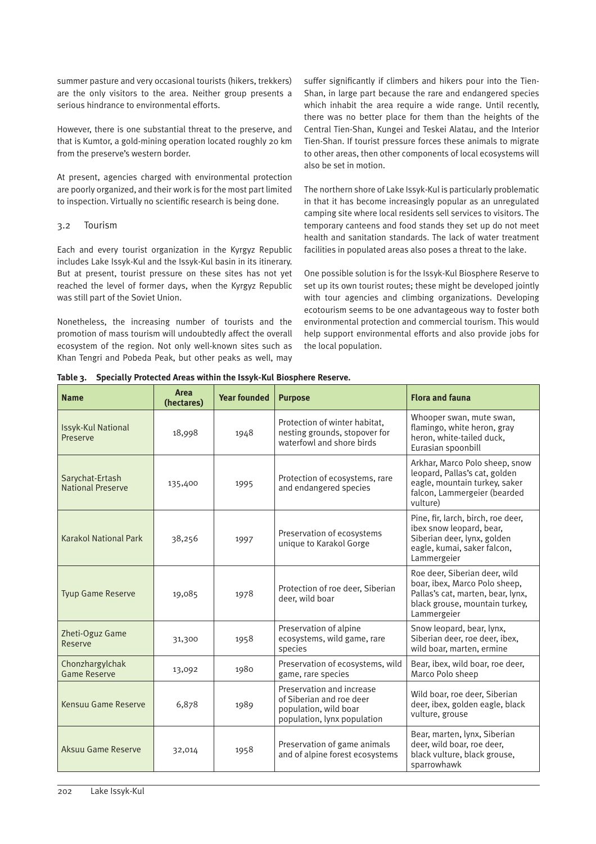summer pasture and very occasional tourists (hikers, trekkers) are the only visitors to the area. Neither group presents a serious hindrance to environmental efforts.

However, there is one substantial threat to the preserve, and that is Kumtor, a gold-mining operation located roughly 20 km from the preserve's western border.

At present, agencies charged with environmental protection are poorly organized, and their work is for the most part limited to inspection. Virtually no scientific research is being done.

#### 3.2 Tourism

Each and every tourist organization in the Kyrgyz Republic includes Lake Issyk-Kul and the Issyk-Kul basin in its itinerary. But at present, tourist pressure on these sites has not yet reached the level of former days, when the Kyrgyz Republic was still part of the Soviet Union.

Nonetheless, the increasing number of tourists and the promotion of mass tourism will undoubtedly affect the overall ecosystem of the region. Not only well-known sites such as Khan Tengri and Pobeda Peak, but other peaks as well, may

suffer significantly if climbers and hikers pour into the Tien-Shan, in large part because the rare and endangered species which inhabit the area require a wide range. Until recently, there was no better place for them than the heights of the Central Tien-Shan, Kungei and Teskei Alatau, and the Interior Tien-Shan. If tourist pressure forces these animals to migrate to other areas, then other components of local ecosystems will also be set in motion.

The northern shore of Lake Issyk-Kul is particularly problematic in that it has become increasingly popular as an unregulated camping site where local residents sell services to visitors. The temporary canteens and food stands they set up do not meet health and sanitation standards. The lack of water treatment facilities in populated areas also poses a threat to the lake.

One possible solution is for the Issyk-Kul Biosphere Reserve to set up its own tourist routes; these might be developed jointly with tour agencies and climbing organizations. Developing ecotourism seems to be one advantageous way to foster both environmental protection and commercial tourism. This would help support environmental efforts and also provide jobs for the local population.

**Table 3. Specially Protected Areas within the Issyk-Kul Biosphere Reserve.**

| <b>Name</b>                                 | <b>Area</b><br>(hectares) | <b>Year founded</b> | <b>Purpose</b>                                                                                                | <b>Flora and fauna</b>                                                                                                                               |
|---------------------------------------------|---------------------------|---------------------|---------------------------------------------------------------------------------------------------------------|------------------------------------------------------------------------------------------------------------------------------------------------------|
| <b>Issyk-Kul National</b><br>Preserve       | 18,998                    | 1948                | Protection of winter habitat.<br>nesting grounds, stopover for<br>waterfowl and shore birds                   | Whooper swan, mute swan,<br>flamingo, white heron, gray<br>heron, white-tailed duck,<br>Eurasian spoonbill                                           |
| Sarychat-Ertash<br><b>National Preserve</b> | 135,400                   | 1995                | Protection of ecosystems, rare<br>and endangered species                                                      | Arkhar, Marco Polo sheep, snow<br>leopard, Pallas's cat, golden<br>eagle, mountain turkey, saker<br>falcon, Lammergeier (bearded<br>vulture)         |
| <b>Karakol National Park</b>                | 38,256                    | 1997                | Preservation of ecosystems<br>unique to Karakol Gorge                                                         | Pine, fir, larch, birch, roe deer,<br>ibex snow leopard, bear,<br>Siberian deer, lynx, golden<br>eagle, kumai, saker falcon,<br>Lammergeier          |
| <b>Tyup Game Reserve</b>                    | 19,085                    | 1978                | Protection of roe deer, Siberian<br>deer, wild boar                                                           | Roe deer, Siberian deer, wild<br>boar, ibex, Marco Polo sheep,<br>Pallas's cat, marten, bear, lynx,<br>black grouse, mountain turkey,<br>Lammergeier |
| Zheti-Oguz Game<br>Reserve                  | 31,300                    | 1958                | Preservation of alpine<br>ecosystems, wild game, rare<br>species                                              | Snow leopard, bear, lynx,<br>Siberian deer, roe deer, ibex,<br>wild boar, marten, ermine                                                             |
| Chonzhargylchak<br><b>Game Reserve</b>      | 13,092                    | 1980                | Preservation of ecosystems, wild<br>game, rare species                                                        | Bear, ibex, wild boar, roe deer,<br>Marco Polo sheep                                                                                                 |
| Kensuu Game Reserve                         | 6,878                     | 1989                | Preservation and increase<br>of Siberian and roe deer<br>population, wild boar<br>population, lynx population | Wild boar, roe deer, Siberian<br>deer, ibex, golden eagle, black<br>vulture, grouse                                                                  |
| Aksuu Game Reserve                          | 32,014                    | 1958                | Preservation of game animals<br>and of alpine forest ecosystems                                               | Bear, marten, Iynx, Siberian<br>deer, wild boar, roe deer,<br>black vulture, black grouse,<br>sparrowhawk                                            |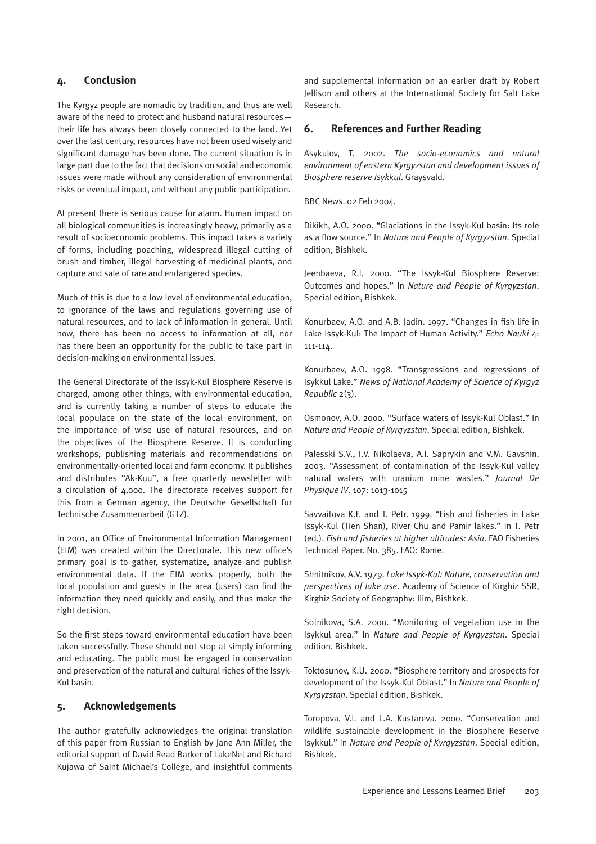# **4. Conclusion**

The Kyrgyz people are nomadic by tradition, and thus are well aware of the need to protect and husband natural resources their life has always been closely connected to the land. Yet over the last century, resources have not been used wisely and significant damage has been done. The current situation is in large part due to the fact that decisions on social and economic issues were made without any consideration of environmental risks or eventual impact, and without any public participation.

At present there is serious cause for alarm. Human impact on all biological communities is increasingly heavy, primarily as a result of socioeconomic problems. This impact takes a variety of forms, including poaching, widespread illegal cutting of brush and timber, illegal harvesting of medicinal plants, and capture and sale of rare and endangered species.

Much of this is due to a low level of environmental education, to ignorance of the laws and regulations governing use of natural resources, and to lack of information in general. Until now, there has been no access to information at all, nor has there been an opportunity for the public to take part in decision-making on environmental issues.

The General Directorate of the Issyk-Kul Biosphere Reserve is charged, among other things, with environmental education, and is currently taking a number of steps to educate the local populace on the state of the local environment, on the importance of wise use of natural resources, and on the objectives of the Biosphere Reserve. It is conducting workshops, publishing materials and recommendations on environmentally-oriented local and farm economy. It publishes and distributes "Ak-Kuu", a free quarterly newsletter with a circulation of 4,000. The directorate receives support for this from a German agency, the Deutsche Gesellschaft fur Technische Zusammenarbeit (GTZ).

In 2001, an Office of Environmental Information Management (EIM) was created within the Directorate. This new office's primary goal is to gather, systematize, analyze and publish environmental data. If the EIM works properly, both the local population and guests in the area (users) can find the information they need quickly and easily, and thus make the right decision.

So the first steps toward environmental education have been taken successfully. These should not stop at simply informing and educating. The public must be engaged in conservation and preservation of the natural and cultural riches of the Issyk-Kul basin.

# **5. Acknowledgements**

The author gratefully acknowledges the original translation of this paper from Russian to English by Jane Ann Miller, the editorial support of David Read Barker of LakeNet and Richard Kujawa of Saint Michael's College, and insightful comments and supplemental information on an earlier draft by Robert Jellison and others at the International Society for Salt Lake Research.

## **6. References and Further Reading**

Asykulov, T. 2002. *The socio-economics and natural environment of eastern Kyrgyzstan and development issues of Biosphere reserve Isykkul*. Graysvald.

BBC News. 02 Feb 2004.

Dikikh, A.O. 2000. "Glaciations in the Issyk-Kul basin: Its role as a flow source." In *Nature and People of Kyrgyzstan*. Special edition, Bishkek.

Jeenbaeva, R.I. 2000. "The Issyk-Kul Biosphere Reserve: Outcomes and hopes." In *Nature and People of Kyrgyzstan*. Special edition, Bishkek.

Konurbaev, A.O. and A.B. Jadin. 1997. "Changes in fish life in Lake Issyk-Kul: The Impact of Human Activity." *Echo Nauki* 4: 111-114.

Konurbaev, A.O. 1998. "Transgressions and regressions of Isykkul Lake." *News of National Academy of Science of Kyrgyz Republic* 2(3).

Osmonov, A.O. 2000. "Surface waters of Issyk-Kul Oblast." In *Nature and People of Kyrgyzstan*. Special edition, Bishkek.

Palesski S.V., I.V. Nikolaeva, A.I. Saprykin and V.M. Gavshin. 2003. "Assessment of contamination of the Issyk-Kul valley natural waters with uranium mine wastes." *Journal De Physique IV*. 107: 1013-1015

Savvaitova K.F. and T. Petr. 1999. "Fish and fisheries in Lake Issyk-Kul (Tien Shan), River Chu and Pamir lakes." In T. Petr (ed.). *Fish and fisheries at higher altitudes: Asia*. FAO Fisheries Technical Paper. No. 385. FAO: Rome.

Shnitnikov, A.V. 1979. *Lake Issyk-Kul: Nature, conservation and perspectives of lake use*. Academy of Science of Kirghiz SSR, Kirghiz Society of Geography: Ilim, Bishkek.

Sotnikova, S.A. 2000. "Monitoring of vegetation use in the Isykkul area." In *Nature and People of Kyrgyzstan*. Special edition, Bishkek.

Toktosunov, K.U. 2000. "Biosphere territory and prospects for development of the Issyk-Kul Oblast." In *Nature and People of Kyrgyzstan*. Special edition, Bishkek.

Toropova, V.I. and L.A. Kustareva. 2000. "Conservation and wildlife sustainable development in the Biosphere Reserve Isykkul." In *Nature and People of Kyrgyzstan*. Special edition, Bishkek.